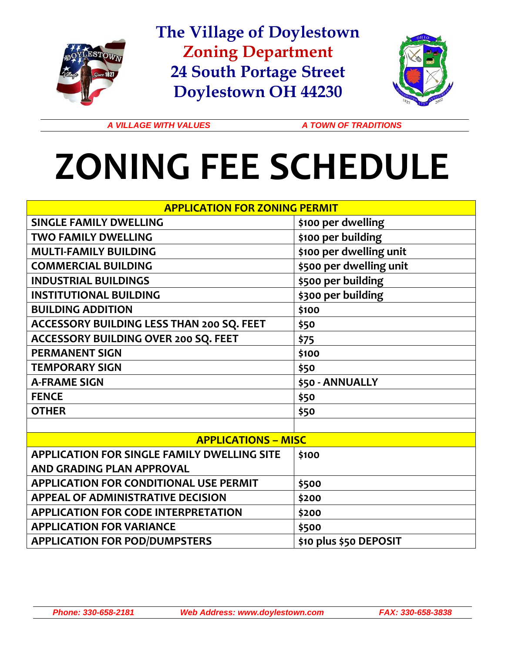

**The Village of Doylestown Zoning Department 24 South Portage Street Doylestown OH 44230**



A VILLAGE WITH VALUES A TOWN OF TRADITIONS

## **ZONING FEE SCHEDULE**

| <b>APPLICATION FOR ZONING PERMIT</b>               |                         |
|----------------------------------------------------|-------------------------|
| <b>SINGLE FAMILY DWELLING</b>                      | \$100 per dwelling      |
| <b>TWO FAMILY DWELLING</b>                         | \$100 per building      |
| <b>MULTI-FAMILY BUILDING</b>                       | \$100 per dwelling unit |
| <b>COMMERCIAL BUILDING</b>                         | \$500 per dwelling unit |
| <b>INDUSTRIAL BUILDINGS</b>                        | \$500 per building      |
| <b>INSTITUTIONAL BUILDING</b>                      | \$300 per building      |
| <b>BUILDING ADDITION</b>                           | \$100                   |
| ACCESSORY BUILDING LESS THAN 200 SQ. FEET          | \$50                    |
| ACCESSORY BUILDING OVER 200 SQ. FEET               | \$75                    |
| <b>PERMANENT SIGN</b>                              | \$100                   |
| <b>TEMPORARY SIGN</b>                              | \$50                    |
| <b>A-FRAME SIGN</b>                                | \$50 - ANNUALLY         |
| <b>FENCE</b>                                       | \$50                    |
| <b>OTHER</b>                                       | \$50                    |
|                                                    |                         |
| <b>APPLICATIONS - MISC</b>                         |                         |
| <b>APPLICATION FOR SINGLE FAMILY DWELLING SITE</b> | \$100                   |
| <b>AND GRADING PLAN APPROVAL</b>                   |                         |
| <b>APPLICATION FOR CONDITIONAL USE PERMIT</b>      | \$500                   |
| <b>APPEAL OF ADMINISTRATIVE DECISION</b>           | \$200                   |
| <b>APPLICATION FOR CODE INTERPRETATION</b>         | \$200                   |
| <b>APPLICATION FOR VARIANCE</b>                    | \$500                   |
| <b>APPLICATION FOR POD/DUMPSTERS</b>               | \$10 plus \$50 DEPOSIT  |